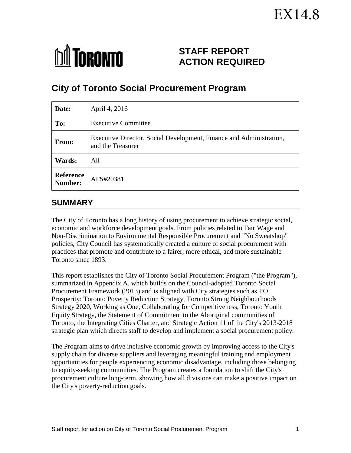# EX14.8



# **STAFF REPORT ACTION REQUIRED**

# **City of Toronto Social Procurement Program**

| Date:                       | April 4, 2016                                                                            |
|-----------------------------|------------------------------------------------------------------------------------------|
| To:                         | <b>Executive Committee</b>                                                               |
| From:                       | Executive Director, Social Development, Finance and Administration,<br>and the Treasurer |
| Wards:                      | All                                                                                      |
| <b>Reference</b><br>Number: | AFS#20381                                                                                |

# **SUMMARY**

The City of Toronto has a long history of using procurement to achieve strategic social, economic and workforce development goals. From policies related to Fair Wage and Non-Discrimination to Environmental Responsible Procurement and "No Sweatshop" policies, City Council has systematically created a culture of social procurement with practices that promote and contribute to a fairer, more ethical, and more sustainable Toronto since 1893.

This report establishes the City of Toronto Social Procurement Program ("the Program"), summarized in Appendix A, which builds on the Council-adopted Toronto Social Procurement Framework (2013) and is aligned with City strategies such as TO Prosperity: Toronto Poverty Reduction Strategy, Toronto Strong Neighbourhoods Strategy 2020, Working as One, Collaborating for Competitiveness, Toronto Youth Equity Strategy, the Statement of Commitment to the Aboriginal communities of Toronto, the Integrating Cities Charter, and Strategic Action 11 of the City's 2013-2018 strategic plan which directs staff to develop and implement a social procurement policy.

The Program aims to drive inclusive economic growth by improving access to the City's supply chain for diverse suppliers and leveraging meaningful training and employment opportunities for people experiencing economic disadvantage, including those belonging to equity-seeking communities. The Program creates a foundation to shift the City's procurement culture long-term, showing how all divisions can make a positive impact on the City's poverty-reduction goals.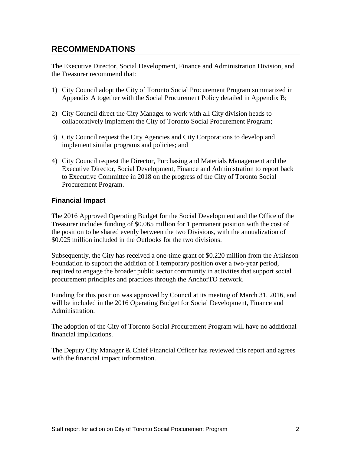# **RECOMMENDATIONS**

The Executive Director, Social Development, Finance and Administration Division, and the Treasurer recommend that:

- 1) City Council adopt the City of Toronto Social Procurement Program summarized in Appendix A together with the Social Procurement Policy detailed in Appendix B;
- 2) City Council direct the City Manager to work with all City division heads to collaboratively implement the City of Toronto Social Procurement Program;
- 3) City Council request the City Agencies and City Corporations to develop and implement similar programs and policies; and
- 4) City Council request the Director, Purchasing and Materials Management and the Executive Director, Social Development, Finance and Administration to report back to Executive Committee in 2018 on the progress of the City of Toronto Social Procurement Program.

#### **Financial Impact**

The 2016 Approved Operating Budget for the Social Development and the Office of the Treasurer includes funding of \$0.065 million for 1 permanent position with the cost of the position to be shared evenly between the two Divisions, with the annualization of \$0.025 million included in the Outlooks for the two divisions.

Subsequently, the City has received a one-time grant of \$0.220 million from the Atkinson Foundation to support the addition of 1 temporary position over a two-year period, required to engage the broader public sector community in activities that support social procurement principles and practices through the AnchorTO network.

Funding for this position was approved by Council at its meeting of March 31, 2016, and will be included in the 2016 Operating Budget for Social Development, Finance and Administration.

The adoption of the City of Toronto Social Procurement Program will have no additional financial implications.

The Deputy City Manager & Chief Financial Officer has reviewed this report and agrees with the financial impact information.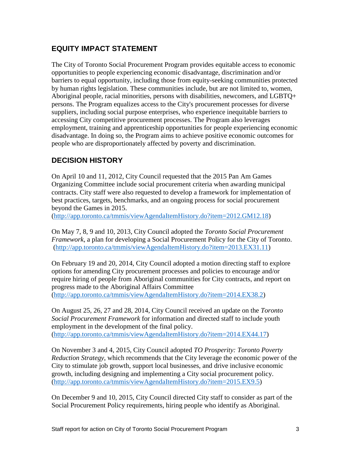# **EQUITY IMPACT STATEMENT**

The City of Toronto Social Procurement Program provides equitable access to economic opportunities to people experiencing economic disadvantage, discrimination and/or barriers to equal opportunity, including those from equity-seeking communities protected by human rights legislation. These communities include, but are not limited to, women, Aboriginal people, racial minorities, persons with disabilities, newcomers, and LGBTQ+ persons. The Program equalizes access to the City's procurement processes for diverse suppliers, including social purpose enterprises, who experience inequitable barriers to accessing City competitive procurement processes. The Program also leverages employment, training and apprenticeship opportunities for people experiencing economic disadvantage. In doing so, the Program aims to achieve positive economic outcomes for people who are disproportionately affected by poverty and discrimination.

# **DECISION HISTORY**

On April 10 and 11, 2012, City Council requested that the 2015 Pan Am Games Organizing Committee include social procurement criteria when awarding municipal contracts. City staff were also requested to develop a framework for implementation of best practices, targets, benchmarks, and an ongoing process for social procurement beyond the Games in 2015.

[\(http://app.toronto.ca/tmmis/viewAgendaItemHistory.do?item=2012.GM12.18\)](http://app.toronto.ca/tmmis/viewAgendaItemHistory.do?item=2012.GM12.18)

On May 7, 8, 9 and 10, 2013, City Council adopted the *Toronto Social Procurement Framework*, a plan for developing a Social Procurement Policy for the City of Toronto. [\(http://app.toronto.ca/tmmis/viewAgendaItemHistory.do?item=2013.EX31.11\)](http://app.toronto.ca/tmmis/viewAgendaItemHistory.do?item=2013.EX31.11)

On February 19 and 20, 2014, City Council adopted a motion directing staff to explore options for amending City procurement processes and policies to encourage and/or require hiring of people from Aboriginal communities for City contracts, and report on progress made to the Aboriginal Affairs Committee [\(http://app.toronto.ca/tmmis/viewAgendaItemHistory.do?item=2014.EX38.2\)](http://app.toronto.ca/tmmis/viewAgendaItemHistory.do?item=2014.EX38.2)

On August 25, 26, 27 and 28, 2014, City Council received an update on the *Toronto Social Procurement Framework* for information and directed staff to include youth employment in the development of the final policy. [\(http://app.toronto.ca/tmmis/viewAgendaItemHistory.do?item=2014.EX44.17\)](http://app.toronto.ca/tmmis/viewAgendaItemHistory.do?item=2014.EX44.17)

On November 3 and 4, 2015, City Council adopted *TO Prosperity: Toronto Poverty Reduction Strategy*, which recommends that the City leverage the economic power of the City to stimulate job growth, support local businesses, and drive inclusive economic growth, including designing and implementing a City social procurement policy. [\(http://app.toronto.ca/tmmis/viewAgendaItemHistory.do?item=2015.EX9.5\)](http://app.toronto.ca/tmmis/viewAgendaItemHistory.do?item=2015.EX9.5)

On December 9 and 10, 2015, City Council directed City staff to consider as part of the Social Procurement Policy requirements, hiring people who identify as Aboriginal.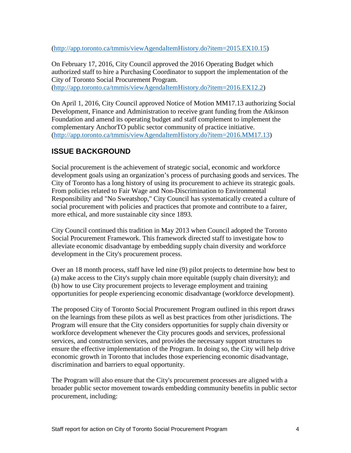[\(http://app.toronto.ca/tmmis/viewAgendaItemHistory.do?item=2015.EX10.15\)](http://app.toronto.ca/tmmis/viewAgendaItemHistory.do?item=2015.EX10.15)

On February 17, 2016, City Council approved the 2016 Operating Budget which authorized staff to hire a Purchasing Coordinator to support the implementation of the City of Toronto Social Procurement Program. [\(http://app.toronto.ca/tmmis/viewAgendaItemHistory.do?item=2016.EX12.2\)](http://app.toronto.ca/tmmis/viewAgendaItemHistory.do?item=2016.EX12.2)

On April 1, 2016, City Council approved Notice of Motion MM17.13 authorizing Social Development, Finance and Administration to receive grant funding from the Atkinson Foundation and amend its operating budget and staff complement to implement the complementary AnchorTO public sector community of practice initiative. [\(http://app.toronto.ca/tmmis/viewAgendaItemHistory.do?item=2016.MM17.13\)](http://app.toronto.ca/tmmis/viewAgendaItemHistory.do?item=2016.MM17.13)

# **ISSUE BACKGROUND**

Social procurement is the achievement of strategic social, economic and workforce development goals using an organization's process of purchasing goods and services. The City of Toronto has a long history of using its procurement to achieve its strategic goals. From policies related to Fair Wage and Non-Discrimination to Environmental Responsibility and "No Sweatshop," City Council has systematically created a culture of social procurement with policies and practices that promote and contribute to a fairer, more ethical, and more sustainable city since 1893.

City Council continued this tradition in May 2013 when Council adopted the Toronto Social Procurement Framework. This framework directed staff to investigate how to alleviate economic disadvantage by embedding supply chain diversity and workforce development in the City's procurement process.

Over an 18 month process, staff have led nine (9) pilot projects to determine how best to (a) make access to the City's supply chain more equitable (supply chain diversity); and (b) how to use City procurement projects to leverage employment and training opportunities for people experiencing economic disadvantage (workforce development).

The proposed City of Toronto Social Procurement Program outlined in this report draws on the learnings from these pilots as well as best practices from other jurisdictions. The Program will ensure that the City considers opportunities for supply chain diversity or workforce development whenever the City procures goods and services, professional services, and construction services, and provides the necessary support structures to ensure the effective implementation of the Program. In doing so, the City will help drive economic growth in Toronto that includes those experiencing economic disadvantage, discrimination and barriers to equal opportunity.

The Program will also ensure that the City's procurement processes are aligned with a broader public sector movement towards embedding community benefits in public sector procurement, including: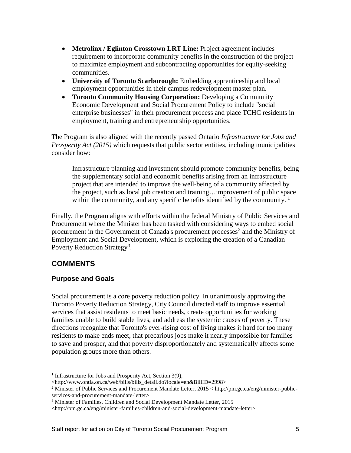- **Metrolinx / Eglinton Crosstown LRT Line:** Project agreement includes requirement to incorporate community benefits in the construction of the project to maximize employment and subcontracting opportunities for equity-seeking communities.
- **University of Toronto Scarborough:** Embedding apprenticeship and local employment opportunities in their campus redevelopment master plan.
- **Toronto Community Housing Corporation:** Developing a Community Economic Development and Social Procurement Policy to include "social enterprise businesses" in their procurement process and place TCHC residents in employment, training and entrepreneurship opportunities.

The Program is also aligned with the recently passed Ontario *Infrastructure for Jobs and Prosperity Act (2015)* which requests that public sector entities, including municipalities consider how:

Infrastructure planning and investment should promote community benefits, being the supplementary social and economic benefits arising from an infrastructure project that are intended to improve the well-being of a community affected by the project, such as local job creation and training…improvement of public space within the community, and any specific benefits identified by the community.  $\frac{1}{1}$  $\frac{1}{1}$  $\frac{1}{1}$ 

Finally, the Program aligns with efforts within the federal Ministry of Public Services and Procurement where the Minister has been tasked with considering ways to embed social procurement in the Government of Canada's procurement processes<sup>[2](#page-4-1)</sup> and the Ministry of Employment and Social Development, which is exploring the creation of a Canadian Poverty Reduction Strategy<sup>[3](#page-4-2)</sup>.

# **COMMENTS**

# **Purpose and Goals**

Social procurement is a core poverty reduction policy. In unanimously approving the Toronto Poverty Reduction Strategy, City Council directed staff to improve essential services that assist residents to meet basic needs, create opportunities for working families unable to build stable lives, and address the systemic causes of poverty. These directions recognize that Toronto's ever-rising cost of living makes it hard for too many residents to make ends meet, that precarious jobs make it nearly impossible for families to save and prosper, and that poverty disproportionately and systematically affects some population groups more than others.

<span id="page-4-0"></span><sup>&</sup>lt;sup>1</sup> Infrastructure for Jobs and Prosperity Act, Section 3(9),  $\overline{a}$ 

<sup>&</sup>lt;http://www.ontla.on.ca/web/bills/bills\_detail.do?locale=en&BillID=2998>

<span id="page-4-1"></span><sup>2</sup> Minister of Public Services and Procurement Mandate Letter, 2015 < http://pm.gc.ca/eng/minister-publicservices-and-procurement-mandate-letter>

<span id="page-4-2"></span><sup>&</sup>lt;sup>3</sup> Minister of Families, Children and Social Development Mandate Letter, 2015

<sup>&</sup>lt;http://pm.gc.ca/eng/minister-families-children-and-social-development-mandate-letter>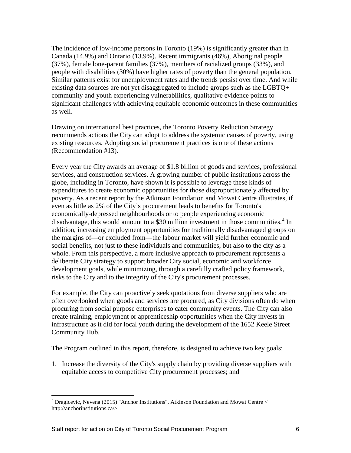The incidence of low-income persons in Toronto (19%) is significantly greater than in Canada (14.9%) and Ontario (13.9%). Recent immigrants (46%), Aboriginal people (37%), female lone-parent families (37%), members of racialized groups (33%), and people with disabilities (30%) have higher rates of poverty than the general population. Similar patterns exist for unemployment rates and the trends persist over time. And while existing data sources are not yet disaggregated to include groups such as the LGBTQ+ community and youth experiencing vulnerabilities, qualitative evidence points to significant challenges with achieving equitable economic outcomes in these communities as well.

Drawing on international best practices, the Toronto Poverty Reduction Strategy recommends actions the City can adopt to address the systemic causes of poverty, using existing resources. Adopting social procurement practices is one of these actions (Recommendation #13).

Every year the City awards an average of \$1.8 billion of goods and services, professional services, and construction services. A growing number of public institutions across the globe, including in Toronto, have shown it is possible to leverage these kinds of expenditures to create economic opportunities for those disproportionately affected by poverty. As a recent report by the Atkinson Foundation and Mowat Centre illustrates, if even as little as 2% of the City's procurement leads to benefits for Toronto's economically-depressed neighbourhoods or to people experiencing economic disadvantage, this would amount to a \$30 million investment in those communities.<sup>[4](#page-5-0)</sup> In addition, increasing employment opportunities for traditionally disadvantaged groups on the margins of—or excluded from—the labour market will yield further economic and social benefits, not just to these individuals and communities, but also to the city as a whole. From this perspective, a more inclusive approach to procurement represents a deliberate City strategy to support broader City social, economic and workforce development goals, while minimizing, through a carefully crafted policy framework, risks to the City and to the integrity of the City's procurement processes.

For example, the City can proactively seek quotations from diverse suppliers who are often overlooked when goods and services are procured, as City divisions often do when procuring from social purpose enterprises to cater community events. The City can also create training, employment or apprenticeship opportunities when the City invests in infrastructure as it did for local youth during the development of the 1652 Keele Street Community Hub.

The Program outlined in this report, therefore, is designed to achieve two key goals:

1. Increase the diversity of the City's supply chain by providing diverse suppliers with equitable access to competitive City procurement processes; and

 $\overline{a}$ 

<span id="page-5-0"></span><sup>4</sup> Dragicevic, Nevena (2015) "Anchor Institutions", Atkinson Foundation and Mowat Centre < http://anchorinstitutions.ca/>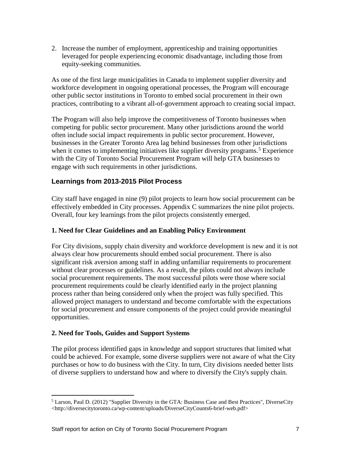2. Increase the number of employment, apprenticeship and training opportunities leveraged for people experiencing economic disadvantage, including those from equity-seeking communities.

As one of the first large municipalities in Canada to implement supplier diversity and workforce development in ongoing operational processes, the Program will encourage other public sector institutions in Toronto to embed social procurement in their own practices, contributing to a vibrant all-of-government approach to creating social impact.

The Program will also help improve the competitiveness of Toronto businesses when competing for public sector procurement. Many other jurisdictions around the world often include social impact requirements in public sector procurement. However, businesses in the Greater Toronto Area lag behind businesses from other jurisdictions when it comes to implementing initiatives like supplier diversity programs.<sup>[5](#page-6-0)</sup> Experience with the City of Toronto Social Procurement Program will help GTA businesses to engage with such requirements in other jurisdictions.

# **Learnings from 2013-2015 Pilot Process**

City staff have engaged in nine (9) pilot projects to learn how social procurement can be effectively embedded in City processes. Appendix C summarizes the nine pilot projects. Overall, four key learnings from the pilot projects consistently emerged.

#### **1. Need for Clear Guidelines and an Enabling Policy Environment**

For City divisions, supply chain diversity and workforce development is new and it is not always clear how procurements should embed social procurement. There is also significant risk aversion among staff in adding unfamiliar requirements to procurement without clear processes or guidelines. As a result, the pilots could not always include social procurement requirements. The most successful pilots were those where social procurement requirements could be clearly identified early in the project planning process rather than being considered only when the project was fully specified. This allowed project managers to understand and become comfortable with the expectations for social procurement and ensure components of the project could provide meaningful opportunities.

#### **2. Need for Tools, Guides and Support Systems**

 $\overline{a}$ 

The pilot process identified gaps in knowledge and support structures that limited what could be achieved. For example, some diverse suppliers were not aware of what the City purchases or how to do business with the City. In turn, City divisions needed better lists of diverse suppliers to understand how and where to diversify the City's supply chain.

<span id="page-6-0"></span> $<sup>5</sup>$  Larson, Paul D. (2012) "Supplier Diversity in the GTA: Business Case and Best Practices", DiverseCity</sup> <http://diversecitytoronto.ca/wp-content/uploads/DiverseCityCounts6-brief-web.pdf>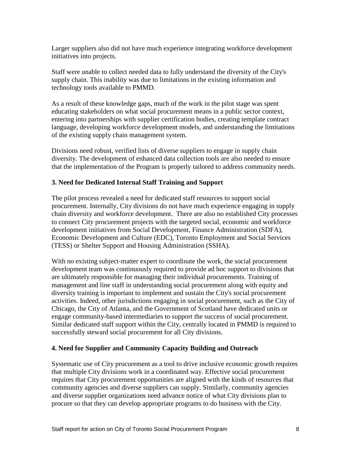Larger suppliers also did not have much experience integrating workforce development initiatives into projects.

Staff were unable to collect needed data to fully understand the diversity of the City's supply chain. This inability was due to limitations in the existing information and technology tools available to PMMD.

As a result of these knowledge gaps, much of the work in the pilot stage was spent educating stakeholders on what social procurement means in a public sector context, entering into partnerships with supplier certification bodies, creating template contract language, developing workforce development models, and understanding the limitations of the existing supply chain management system.

Divisions need robust, verified lists of diverse suppliers to engage in supply chain diversity. The development of enhanced data collection tools are also needed to ensure that the implementation of the Program is properly tailored to address community needs.

# **3. Need for Dedicated Internal Staff Training and Support**

The pilot process revealed a need for dedicated staff resources to support social procurement. Internally, City divisions do not have much experience engaging in supply chain diversity and workforce development. There are also no established City processes to connect City procurement projects with the targeted social, economic and workforce development initiatives from Social Development, Finance Administration (SDFA), Economic Development and Culture (EDC), Toronto Employment and Social Services (TESS) or Shelter Support and Housing Administration (SSHA).

With no existing subject-matter expert to coordinate the work, the social procurement development team was continuously required to provide ad hoc support to divisions that are ultimately responsible for managing their individual procurements. Training of management and line staff in understanding social procurement along with equity and diversity training is important to implement and sustain the City's social procurement activities. Indeed, other jurisdictions engaging in social procurement, such as the City of Chicago, the City of Atlanta, and the Government of Scotland have dedicated units or engage community-based intermediaries to support the success of social procurement. Similar dedicated staff support within the City, centrally located in PMMD is required to successfully steward social procurement for all City divisions.

# **4. Need for Supplier and Community Capacity Building and Outreach**

Systematic use of City procurement as a tool to drive inclusive economic growth requires that multiple City divisions work in a coordinated way. Effective social procurement requires that City procurement opportunities are aligned with the kinds of resources that community agencies and diverse suppliers can supply. Similarly, community agencies and diverse supplier organizations need advance notice of what City divisions plan to procure so that they can develop appropriate programs to do business with the City.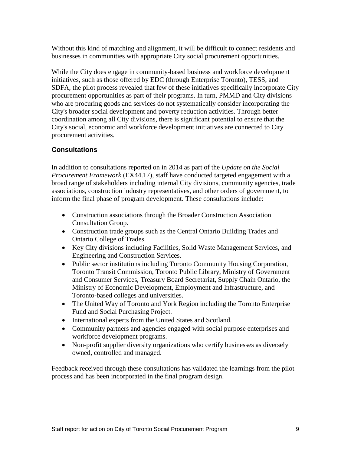Without this kind of matching and alignment, it will be difficult to connect residents and businesses in communities with appropriate City social procurement opportunities.

While the City does engage in community-based business and workforce development initiatives, such as those offered by EDC (through Enterprise Toronto), TESS, and SDFA, the pilot process revealed that few of these initiatives specifically incorporate City procurement opportunities as part of their programs. In turn, PMMD and City divisions who are procuring goods and services do not systematically consider incorporating the City's broader social development and poverty reduction activities. Through better coordination among all City divisions, there is significant potential to ensure that the City's social, economic and workforce development initiatives are connected to City procurement activities.

# **Consultations**

In addition to consultations reported on in 2014 as part of the *Update on the Social Procurement Framework* (EX44.17), staff have conducted targeted engagement with a broad range of stakeholders including internal City divisions, community agencies, trade associations, construction industry representatives, and other orders of government, to inform the final phase of program development. These consultations include:

- Construction associations through the Broader Construction Association Consultation Group.
- Construction trade groups such as the Central Ontario Building Trades and Ontario College of Trades.
- Key City divisions including Facilities, Solid Waste Management Services, and Engineering and Construction Services.
- Public sector institutions including Toronto Community Housing Corporation, Toronto Transit Commission, Toronto Public Library, Ministry of Government and Consumer Services, Treasury Board Secretariat, Supply Chain Ontario, the Ministry of Economic Development, Employment and Infrastructure, and Toronto-based colleges and universities.
- The United Way of Toronto and York Region including the Toronto Enterprise Fund and Social Purchasing Project.
- International experts from the United States and Scotland.
- Community partners and agencies engaged with social purpose enterprises and workforce development programs.
- Non-profit supplier diversity organizations who certify businesses as diversely owned, controlled and managed.

Feedback received through these consultations has validated the learnings from the pilot process and has been incorporated in the final program design.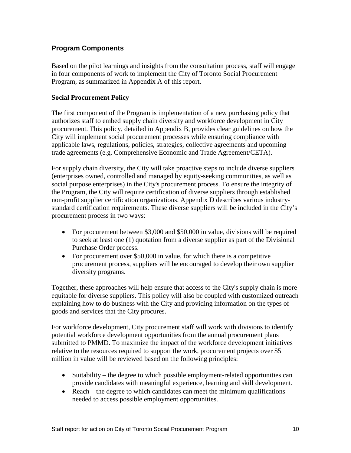# **Program Components**

Based on the pilot learnings and insights from the consultation process, staff will engage in four components of work to implement the City of Toronto Social Procurement Program, as summarized in Appendix A of this report.

#### **Social Procurement Policy**

The first component of the Program is implementation of a new purchasing policy that authorizes staff to embed supply chain diversity and workforce development in City procurement. This policy, detailed in Appendix B, provides clear guidelines on how the City will implement social procurement processes while ensuring compliance with applicable laws, regulations, policies, strategies, collective agreements and upcoming trade agreements (e.g. Comprehensive Economic and Trade Agreement/CETA).

For supply chain diversity, the City will take proactive steps to include diverse suppliers (enterprises owned, controlled and managed by equity-seeking communities, as well as social purpose enterprises) in the City's procurement process. To ensure the integrity of the Program, the City will require certification of diverse suppliers through established non-profit supplier certification organizations. Appendix D describes various industrystandard certification requirements. These diverse suppliers will be included in the City's procurement process in two ways:

- For procurement between \$3,000 and \$50,000 in value, divisions will be required to seek at least one (1) quotation from a diverse supplier as part of the Divisional Purchase Order process.
- For procurement over \$50,000 in value, for which there is a competitive procurement process, suppliers will be encouraged to develop their own supplier diversity programs.

Together, these approaches will help ensure that access to the City's supply chain is more equitable for diverse suppliers. This policy will also be coupled with customized outreach explaining how to do business with the City and providing information on the types of goods and services that the City procures.

For workforce development, City procurement staff will work with divisions to identify potential workforce development opportunities from the annual procurement plans submitted to PMMD. To maximize the impact of the workforce development initiatives relative to the resources required to support the work, procurement projects over \$5 million in value will be reviewed based on the following principles:

- Suitability the degree to which possible employment-related opportunities can provide candidates with meaningful experience, learning and skill development.
- Reach the degree to which candidates can meet the minimum qualifications needed to access possible employment opportunities.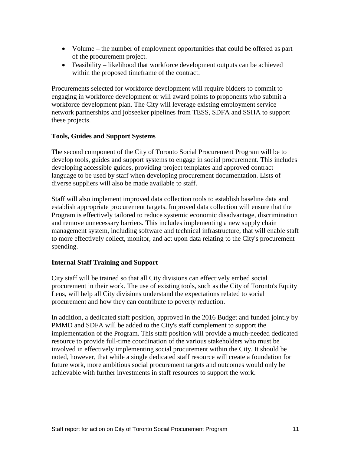- Volume the number of employment opportunities that could be offered as part of the procurement project.
- Feasibility likelihood that workforce development outputs can be achieved within the proposed timeframe of the contract.

Procurements selected for workforce development will require bidders to commit to engaging in workforce development or will award points to proponents who submit a workforce development plan. The City will leverage existing employment service network partnerships and jobseeker pipelines from TESS, SDFA and SSHA to support these projects.

#### **Tools, Guides and Support Systems**

The second component of the City of Toronto Social Procurement Program will be to develop tools, guides and support systems to engage in social procurement. This includes developing accessible guides, providing project templates and approved contract language to be used by staff when developing procurement documentation. Lists of diverse suppliers will also be made available to staff.

Staff will also implement improved data collection tools to establish baseline data and establish appropriate procurement targets. Improved data collection will ensure that the Program is effectively tailored to reduce systemic economic disadvantage, discrimination and remove unnecessary barriers. This includes implementing a new supply chain management system, including software and technical infrastructure, that will enable staff to more effectively collect, monitor, and act upon data relating to the City's procurement spending.

# **Internal Staff Training and Support**

City staff will be trained so that all City divisions can effectively embed social procurement in their work. The use of existing tools, such as the City of Toronto's Equity Lens, will help all City divisions understand the expectations related to social procurement and how they can contribute to poverty reduction.

In addition, a dedicated staff position, approved in the 2016 Budget and funded jointly by PMMD and SDFA will be added to the City's staff complement to support the implementation of the Program. This staff position will provide a much-needed dedicated resource to provide full-time coordination of the various stakeholders who must be involved in effectively implementing social procurement within the City. It should be noted, however, that while a single dedicated staff resource will create a foundation for future work, more ambitious social procurement targets and outcomes would only be achievable with further investments in staff resources to support the work.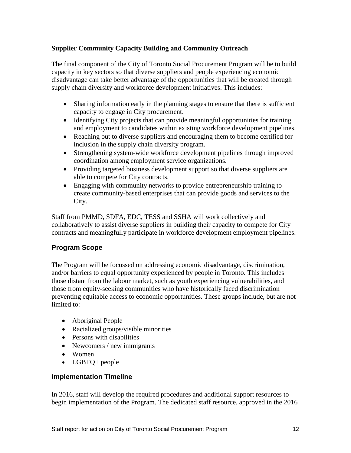# **Supplier Community Capacity Building and Community Outreach**

The final component of the City of Toronto Social Procurement Program will be to build capacity in key sectors so that diverse suppliers and people experiencing economic disadvantage can take better advantage of the opportunities that will be created through supply chain diversity and workforce development initiatives. This includes:

- Sharing information early in the planning stages to ensure that there is sufficient capacity to engage in City procurement.
- Identifying City projects that can provide meaningful opportunities for training and employment to candidates within existing workforce development pipelines.
- Reaching out to diverse suppliers and encouraging them to become certified for inclusion in the supply chain diversity program.
- Strengthening system-wide workforce development pipelines through improved coordination among employment service organizations.
- Providing targeted business development support so that diverse suppliers are able to compete for City contracts.
- Engaging with community networks to provide entrepreneurship training to create community-based enterprises that can provide goods and services to the City.

Staff from PMMD, SDFA, EDC, TESS and SSHA will work collectively and collaboratively to assist diverse suppliers in building their capacity to compete for City contracts and meaningfully participate in workforce development employment pipelines.

# **Program Scope**

The Program will be focussed on addressing economic disadvantage, discrimination, and/or barriers to equal opportunity experienced by people in Toronto. This includes those distant from the labour market, such as youth experiencing vulnerabilities, and those from equity-seeking communities who have historically faced discrimination preventing equitable access to economic opportunities. These groups include, but are not limited to:

- Aboriginal People
- Racialized groups/visible minorities
- Persons with disabilities
- Newcomers / new immigrants
- Women
- LGBTQ+ people

# **Implementation Timeline**

In 2016, staff will develop the required procedures and additional support resources to begin implementation of the Program. The dedicated staff resource, approved in the 2016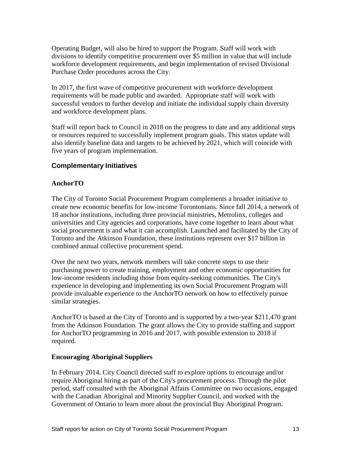Operating Budget, will also be hired to support the Program. Staff will work with divisions to identify competitive procurement over \$5 million in value that will include workforce development requirements, and begin implementation of revised Divisional Purchase Order procedures across the City.

In 2017, the first wave of competitive procurement with workforce development requirements will be made public and awarded. Appropriate staff will work with successful vendors to further develop and initiate the individual supply chain diversity and workforce development plans.

Staff will report back to Council in 2018 on the progress to date and any additional steps or resources required to successfully implement program goals. This status update will also identify baseline data and targets to be achieved by 2021, which will coincide with five years of program implementation.

#### **Complementary Initiatives**

#### **AnchorTO**

The City of Toronto Social Procurement Program complements a broader initiative to create new economic benefits for low-income Torontonians. Since fall 2014, a network of 18 anchor institutions, including three provincial ministries, Metrolinx, colleges and universities and City agencies and corporations, have come together to learn about what social procurement is and what it can accomplish. Launched and facilitated by the City of Toronto and the Atkinson Foundation, these institutions represent over \$17 billion in combined annual collective procurement spend.

Over the next two years, network members will take concrete steps to use their purchasing power to create training, employment and other economic opportunities for low-income residents including those from equity-seeking communities. The City's experience in developing and implementing its own Social Procurement Program will provide invaluable experience to the AnchorTO network on how to effectively pursue similar strategies.

AnchorTO is based at the City of Toronto and is supported by a two-year \$211,470 grant from the Atkinson Foundation. The grant allows the City to provide staffing and support for AnchorTO programming in 2016 and 2017, with possible extension to 2018 if required.

#### **Encouraging Aboriginal Suppliers**

In February 2014, City Council directed staff to explore options to encourage and/or require Aboriginal hiring as part of the City's procurement process. Through the pilot period, staff consulted with the Aboriginal Affairs Committee on two occasions, engaged with the Canadian Aboriginal and Minority Supplier Council, and worked with the Government of Ontario to learn more about the provincial Buy Aboriginal Program.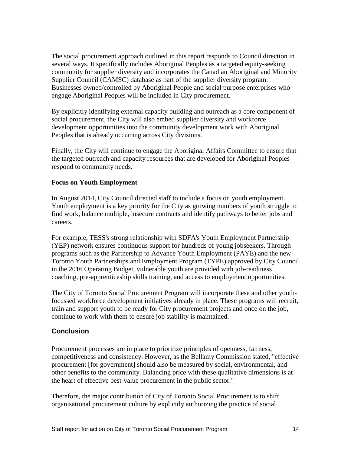The social procurement approach outlined in this report responds to Council direction in several ways. It specifically includes Aboriginal Peoples as a targeted equity-seeking community for supplier diversity and incorporates the Canadian Aboriginal and Minority Supplier Council (CAMSC) database as part of the supplier diversity program. Businesses owned/controlled by Aboriginal People and social purpose enterprises who engage Aboriginal Peoples will be included in City procurement.

By explicitly identifying external capacity building and outreach as a core component of social procurement, the City will also embed supplier diversity and workforce development opportunities into the community development work with Aboriginal Peoples that is already occurring across City divisions.

Finally, the City will continue to engage the Aboriginal Affairs Committee to ensure that the targeted outreach and capacity resources that are developed for Aboriginal Peoples respond to community needs.

#### **Focus on Youth Employment**

In August 2014, City Council directed staff to include a focus on youth employment. Youth employment is a key priority for the City as growing numbers of youth struggle to find work, balance multiple, insecure contracts and identify pathways to better jobs and careers.

For example, TESS's strong relationship with SDFA's Youth Employment Partnership (YEP) network ensures continuous support for hundreds of young jobseekers. Through programs such as the Partnership to Advance Youth Employment (PAYE) and the new Toronto Youth Partnerships and Employment Program (TYPE) approved by City Council in the 2016 Operating Budget, vulnerable youth are provided with job-readiness coaching, pre-apprenticeship skills training, and access to employment opportunities.

The City of Toronto Social Procurement Program will incorporate these and other youthfocussed workforce development initiatives already in place. These programs will recruit, train and support youth to be ready for City procurement projects and once on the job, continue to work with them to ensure job stability is maintained.

# **Conclusion**

Procurement processes are in place to prioritize principles of openness, fairness, competitiveness and consistency. However, as the Bellamy Commission stated, "effective procurement [for government] should also be measured by social, environmental, and other benefits to the community. Balancing price with these qualitative dimensions is at the heart of effective best-value procurement in the public sector."

Therefore, the major contribution of City of Toronto Social Procurement is to shift organisational procurement culture by explicitly authorizing the practice of social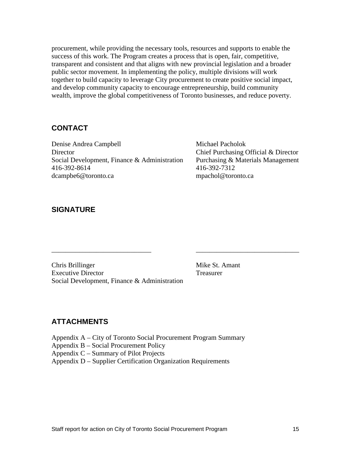procurement, while providing the necessary tools, resources and supports to enable the success of this work. The Program creates a process that is open, fair, competitive, transparent and consistent and that aligns with new provincial legislation and a broader public sector movement. In implementing the policy, multiple divisions will work together to build capacity to leverage City procurement to create positive social impact, and develop community capacity to encourage entrepreneurship, build community wealth, improve the global competitiveness of Toronto businesses, and reduce poverty.

\_\_\_\_\_\_\_\_\_\_\_\_\_\_\_\_\_\_\_\_\_\_\_\_\_\_\_\_\_ \_\_\_\_\_\_\_\_\_\_\_\_\_\_\_\_\_\_\_\_\_\_\_\_\_\_\_\_\_\_

# **CONTACT**

Denise Andrea Campbell Michael Pacholok Director Chief Purchasing Official & Director Social Development, Finance & Administration Purchasing & Materials Management 416-392-8614 416-392-7312 dcampbe6@toronto.ca [mpachol@toronto.ca](mailto:mpachol@toronto.ca)

# **SIGNATURE**

Chris Brillinger Mike St. Amant Executive Director Treasurer Social Development, Finance & Administration

# **ATTACHMENTS**

Appendix A – City of Toronto Social Procurement Program Summary

Appendix B – Social Procurement Policy

Appendix C – Summary of Pilot Projects

Appendix D – Supplier Certification Organization Requirements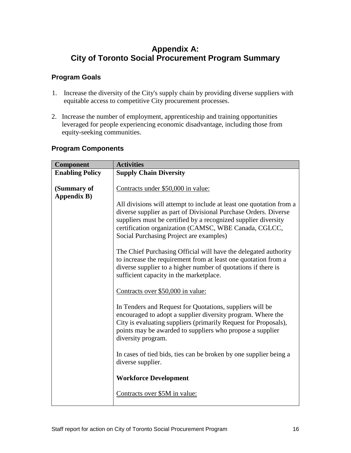# **Appendix A: City of Toronto Social Procurement Program Summary**

# **Program Goals**

- 1. Increase the diversity of the City's supply chain by providing diverse suppliers with equitable access to competitive City procurement processes.
- 2. Increase the number of employment, apprenticeship and training opportunities leveraged for people experiencing economic disadvantage, including those from equity-seeking communities.

# **Program Components**

| Component              | <b>Activities</b>                                                                                                                                                                                                                                                                                            |
|------------------------|--------------------------------------------------------------------------------------------------------------------------------------------------------------------------------------------------------------------------------------------------------------------------------------------------------------|
| <b>Enabling Policy</b> | <b>Supply Chain Diversity</b>                                                                                                                                                                                                                                                                                |
|                        |                                                                                                                                                                                                                                                                                                              |
| (Summary of            | Contracts under \$50,000 in value:                                                                                                                                                                                                                                                                           |
| <b>Appendix B)</b>     |                                                                                                                                                                                                                                                                                                              |
|                        | All divisions will attempt to include at least one quotation from a<br>diverse supplier as part of Divisional Purchase Orders. Diverse<br>suppliers must be certified by a recognized supplier diversity<br>certification organization (CAMSC, WBE Canada, CGLCC,<br>Social Purchasing Project are examples) |
|                        | The Chief Purchasing Official will have the delegated authority<br>to increase the requirement from at least one quotation from a<br>diverse supplier to a higher number of quotations if there is<br>sufficient capacity in the marketplace.                                                                |
|                        | Contracts over \$50,000 in value:                                                                                                                                                                                                                                                                            |
|                        | In Tenders and Request for Quotations, suppliers will be<br>encouraged to adopt a supplier diversity program. Where the<br>City is evaluating suppliers (primarily Request for Proposals),<br>points may be awarded to suppliers who propose a supplier<br>diversity program.                                |
|                        | In cases of tied bids, ties can be broken by one supplier being a<br>diverse supplier.                                                                                                                                                                                                                       |
|                        | <b>Workforce Development</b>                                                                                                                                                                                                                                                                                 |
|                        | Contracts over \$5M in value:                                                                                                                                                                                                                                                                                |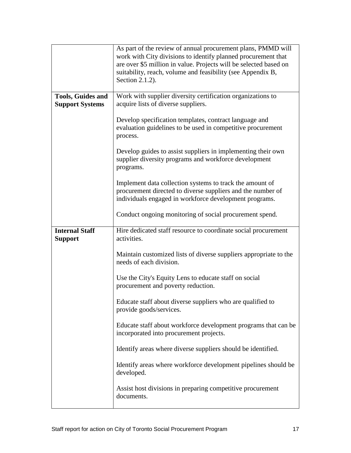|                                                    | As part of the review of annual procurement plans, PMMD will<br>work with City divisions to identify planned procurement that<br>are over \$5 million in value. Projects will be selected based on<br>suitability, reach, volume and feasibility (see Appendix B,<br>Section 2.1.2). |
|----------------------------------------------------|--------------------------------------------------------------------------------------------------------------------------------------------------------------------------------------------------------------------------------------------------------------------------------------|
| <b>Tools, Guides and</b><br><b>Support Systems</b> | Work with supplier diversity certification organizations to<br>acquire lists of diverse suppliers.                                                                                                                                                                                   |
|                                                    | Develop specification templates, contract language and<br>evaluation guidelines to be used in competitive procurement<br>process.                                                                                                                                                    |
|                                                    | Develop guides to assist suppliers in implementing their own<br>supplier diversity programs and workforce development<br>programs.                                                                                                                                                   |
|                                                    | Implement data collection systems to track the amount of<br>procurement directed to diverse suppliers and the number of<br>individuals engaged in workforce development programs.                                                                                                    |
|                                                    | Conduct ongoing monitoring of social procurement spend.                                                                                                                                                                                                                              |
| <b>Internal Staff</b><br><b>Support</b>            | Hire dedicated staff resource to coordinate social procurement<br>activities.                                                                                                                                                                                                        |
|                                                    | Maintain customized lists of diverse suppliers appropriate to the<br>needs of each division.                                                                                                                                                                                         |
|                                                    | Use the City's Equity Lens to educate staff on social<br>procurement and poverty reduction.                                                                                                                                                                                          |
|                                                    | Educate staff about diverse suppliers who are qualified to<br>provide goods/services.                                                                                                                                                                                                |
|                                                    | Educate staff about workforce development programs that can be<br>incorporated into procurement projects.                                                                                                                                                                            |
|                                                    | Identify areas where diverse suppliers should be identified.                                                                                                                                                                                                                         |
|                                                    |                                                                                                                                                                                                                                                                                      |
|                                                    | Identify areas where workforce development pipelines should be<br>developed.                                                                                                                                                                                                         |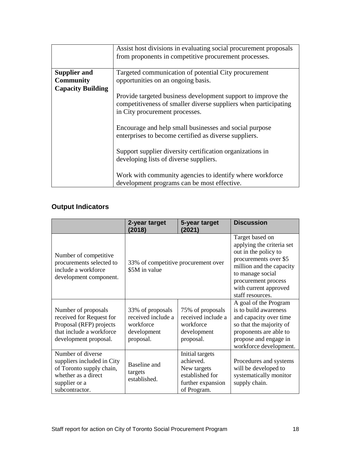|                                                        | Assist host divisions in evaluating social procurement proposals<br>from proponents in competitive procurement processes.                                         |
|--------------------------------------------------------|-------------------------------------------------------------------------------------------------------------------------------------------------------------------|
| <b>Supplier and</b>                                    | Targeted communication of potential City procurement                                                                                                              |
| opportunities on an ongoing basis.<br><b>Community</b> |                                                                                                                                                                   |
| <b>Capacity Building</b>                               | Provide targeted business development support to improve the<br>competitiveness of smaller diverse suppliers when participating<br>in City procurement processes. |
|                                                        | Encourage and help small businesses and social purpose<br>enterprises to become certified as diverse suppliers.                                                   |
|                                                        | Support supplier diversity certification organizations in<br>developing lists of diverse suppliers.                                                               |
|                                                        | Work with community agencies to identify where workforce<br>development programs can be most effective.                                                           |

# **Output Indicators**

|                                                                                                                                       | 2-year target<br>(2018)                                                         | 5-year target<br>(2021)                                                                            | <b>Discussion</b>                                                                                                                                                                                                 |
|---------------------------------------------------------------------------------------------------------------------------------------|---------------------------------------------------------------------------------|----------------------------------------------------------------------------------------------------|-------------------------------------------------------------------------------------------------------------------------------------------------------------------------------------------------------------------|
| Number of competitive<br>procurements selected to<br>include a workforce<br>development component.                                    | 33% of competitive procurement over<br>\$5M in value                            |                                                                                                    | Target based on<br>applying the criteria set<br>out in the policy to<br>procurements over \$5<br>million and the capacity<br>to manage social<br>procurement process<br>with current approved<br>staff resources. |
| Number of proposals<br>received for Request for<br>Proposal (RFP) projects<br>that include a workforce<br>development proposal.       | 33% of proposals<br>received include a<br>workforce<br>development<br>proposal. | 75% of proposals<br>received include a<br>workforce<br>development<br>proposal.                    | A goal of the Program<br>is to build awareness<br>and capacity over time<br>so that the majority of<br>proponents are able to<br>propose and engage in<br>workforce development.                                  |
| Number of diverse<br>suppliers included in City<br>of Toronto supply chain,<br>whether as a direct<br>supplier or a<br>subcontractor. | Baseline and<br>targets<br>established.                                         | Initial targets<br>achieved.<br>New targets<br>established for<br>further expansion<br>of Program. | Procedures and systems<br>will be developed to<br>systematically monitor<br>supply chain.                                                                                                                         |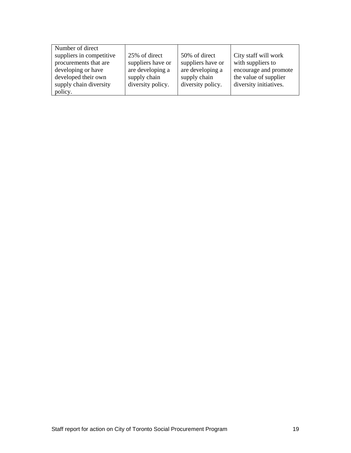| Number of direct         |                   |                   |                        |
|--------------------------|-------------------|-------------------|------------------------|
| suppliers in competitive | 25% of direct     | 50% of direct     | City staff will work   |
| procurements that are    | suppliers have or | suppliers have or | with suppliers to      |
| developing or have       | are developing a  | are developing a  | encourage and promote  |
| developed their own      | supply chain      | supply chain      | the value of supplier  |
| supply chain diversity   | diversity policy. | diversity policy. | diversity initiatives. |
| policy.                  |                   |                   |                        |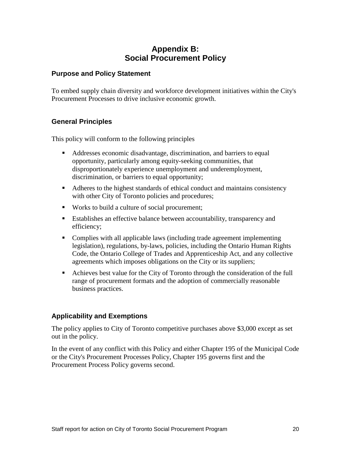# **Appendix B: Social Procurement Policy**

#### **Purpose and Policy Statement**

To embed supply chain diversity and workforce development initiatives within the City's Procurement Processes to drive inclusive economic growth.

# **General Principles**

This policy will conform to the following principles

- Addresses economic disadvantage, discrimination, and barriers to equal opportunity, particularly among equity-seeking communities, that disproportionately experience unemployment and underemployment, discrimination, or barriers to equal opportunity;
- Adheres to the highest standards of ethical conduct and maintains consistency with other City of Toronto policies and procedures;
- Works to build a culture of social procurement;
- Establishes an effective balance between accountability, transparency and efficiency;
- Complies with all applicable laws (including trade agreement implementing legislation), regulations, by-laws, policies, including the Ontario Human Rights Code, the Ontario College of Trades and Apprenticeship Act, and any collective agreements which imposes obligations on the City or its suppliers;
- Achieves best value for the City of Toronto through the consideration of the full range of procurement formats and the adoption of commercially reasonable business practices.

# **Applicability and Exemptions**

The policy applies to City of Toronto competitive purchases above \$3,000 except as set out in the policy.

In the event of any conflict with this Policy and either Chapter 195 of the Municipal Code or the City's Procurement Processes Policy, Chapter 195 governs first and the Procurement Process Policy governs second.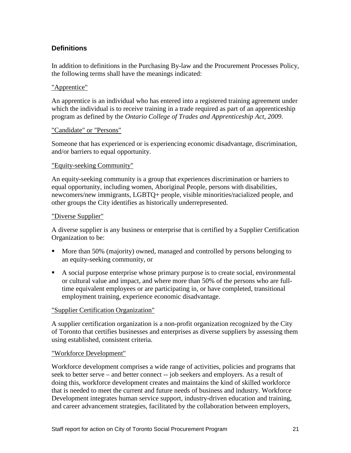# **Definitions**

In addition to definitions in the Purchasing By-law and the Procurement Processes Policy, the following terms shall have the meanings indicated:

#### "Apprentice"

An apprentice is an individual who has entered into a registered training agreement under which the individual is to receive training in a trade required as part of an apprenticeship program as defined by the *Ontario College of Trades and Apprenticeship Act, 2009*.

#### "Candidate" or "Persons"

Someone that has experienced or is experiencing economic disadvantage, discrimination, and/or barriers to equal opportunity.

#### "Equity-seeking Community"

An equity-seeking community is a group that experiences discrimination or barriers to equal opportunity, including women, Aboriginal People, persons with disabilities, newcomers/new immigrants, LGBTQ+ people, visible minorities/racialized people, and other groups the City identifies as historically underrepresented.

#### "Diverse Supplier"

A diverse supplier is any business or enterprise that is certified by a Supplier Certification Organization to be:

- More than 50% (majority) owned, managed and controlled by persons belonging to an equity-seeking community, or
- A social purpose enterprise whose primary purpose is to create social, environmental or cultural value and impact, and where more than 50% of the persons who are fulltime equivalent employees or are participating in, or have completed, transitional employment training, experience economic disadvantage.

# "Supplier Certification Organization"

A supplier certification organization is a non-profit organization recognized by the City of Toronto that certifies businesses and enterprises as diverse suppliers by assessing them using established, consistent criteria.

# "Workforce Development"

Workforce development comprises a wide range of activities, policies and programs that seek to better serve – and better connect -- job seekers and employers. As a result of doing this, workforce development creates and maintains the kind of skilled workforce that is needed to meet the current and future needs of business and industry. Workforce Development integrates human service support, industry-driven education and training, and career advancement strategies, facilitated by the collaboration between employers,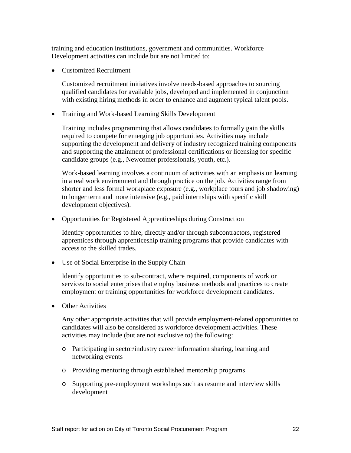training and education institutions, government and communities. Workforce Development activities can include but are not limited to:

• Customized Recruitment

Customized recruitment initiatives involve needs-based approaches to sourcing qualified candidates for available jobs, developed and implemented in conjunction with existing hiring methods in order to enhance and augment typical talent pools.

• Training and Work-based Learning Skills Development

Training includes programming that allows candidates to formally gain the skills required to compete for emerging job opportunities. Activities may include supporting the development and delivery of industry recognized training components and supporting the attainment of professional certifications or licensing for specific candidate groups (e.g., Newcomer professionals, youth, etc.).

Work-based learning involves a continuum of activities with an emphasis on learning in a real work environment and through practice on the job. Activities range from shorter and less formal workplace exposure (e.g., workplace tours and job shadowing) to longer term and more intensive (e.g., paid internships with specific skill development objectives).

• Opportunities for Registered Apprenticeships during Construction

Identify opportunities to hire, directly and/or through subcontractors, registered apprentices through apprenticeship training programs that provide candidates with access to the skilled trades.

• Use of Social Enterprise in the Supply Chain

Identify opportunities to sub-contract, where required, components of work or services to social enterprises that employ business methods and practices to create employment or training opportunities for workforce development candidates.

• Other Activities

Any other appropriate activities that will provide employment-related opportunities to candidates will also be considered as workforce development activities. These activities may include (but are not exclusive to) the following:

- o Participating in sector/industry career information sharing, learning and networking events
- o Providing mentoring through established mentorship programs
- o Supporting pre-employment workshops such as resume and interview skills development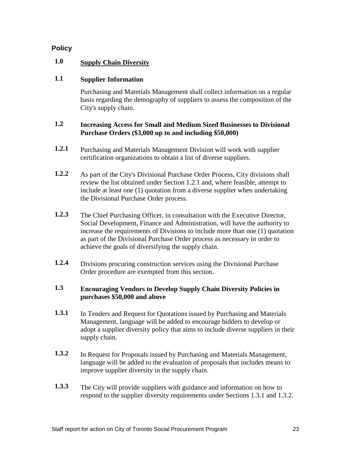# **Policy**

# **1.0 Supply Chain Diversity**

# **1.1 Supplier Information**

Purchasing and Materials Management shall collect information on a regular basis regarding the demography of suppliers to assess the composition of the City's supply chain.

# **1.2 Increasing Access for Small and Medium Sized Businesses to Divisional Purchase Orders (\$3,000 up to and including \$50,000)**

- **1.2.1** Purchasing and Materials Management Division will work with supplier certification organizations to obtain a list of diverse suppliers.
- **1.2.2** As part of the City's Divisional Purchase Order Process, City divisions shall review the list obtained under Section 1.2.1 and, where feasible, attempt to include at least one (1) quotation from a diverse supplier when undertaking the Divisional Purchase Order process.
- **1.2.3** The Chief Purchasing Officer, in consultation with the Executive Director, Social Development, Finance and Administration, will have the authority to increase the requirements of Divisions to include more than one (1) quotation as part of the Divisional Purchase Order process as necessary in order to achieve the goals of diversifying the supply chain.
- **1.2.4** Divisions procuring construction services using the Divisional Purchase Order procedure are exempted from this section.

# **1.3 Encouraging Vendors to Develop Supply Chain Diversity Policies in purchases \$50,000 and above**

- **1.3.1** In Tenders and Request for Quotations issued by Purchasing and Materials Management, language will be added to encourage bidders to develop or adopt a supplier diversity policy that aims to include diverse suppliers in their supply chain.
- **1.3.2** In Request for Proposals issued by Purchasing and Materials Management, language will be added to the evaluation of proposals that includes means to improve supplier diversity in the supply chain.
- **1.3.3** The City will provide suppliers with guidance and information on how to respond to the supplier diversity requirements under Sections 1.3.1 and 1.3.2.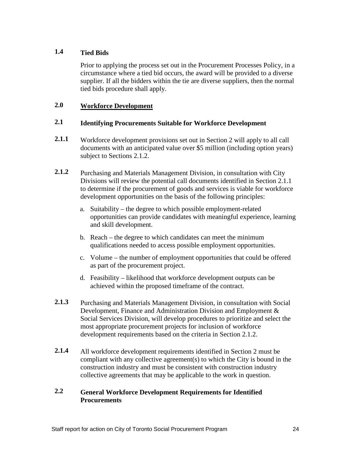# **1.4 Tied Bids**

Prior to applying the process set out in the Procurement Processes Policy, in a circumstance where a tied bid occurs, the award will be provided to a diverse supplier. If all the bidders within the tie are diverse suppliers, then the normal tied bids procedure shall apply.

# **2.0 Workforce Development**

# **2.1 Identifying Procurements Suitable for Workforce Development**

- **2.1.1** Workforce development provisions set out in Section 2 will apply to all call documents with an anticipated value over \$5 million (including option years) subject to Sections 2.1.2.
- **2.1.2** Purchasing and Materials Management Division, in consultation with City Divisions will review the potential call documents identified in Section 2.1.1 to determine if the procurement of goods and services is viable for workforce development opportunities on the basis of the following principles:
	- a. Suitability the degree to which possible employment-related opportunities can provide candidates with meaningful experience, learning and skill development.
	- b. Reach the degree to which candidates can meet the minimum qualifications needed to access possible employment opportunities.
	- c. Volume the number of employment opportunities that could be offered as part of the procurement project.
	- d. Feasibility likelihood that workforce development outputs can be achieved within the proposed timeframe of the contract.
- **2.1.3** Purchasing and Materials Management Division, in consultation with Social Development, Finance and Administration Division and Employment & Social Services Division, will develop procedures to prioritize and select the most appropriate procurement projects for inclusion of workforce development requirements based on the criteria in Section 2.1.2.
- **2.1.4** All workforce development requirements identified in Section 2 must be compliant with any collective agreement(s) to which the City is bound in the construction industry and must be consistent with construction industry collective agreements that may be applicable to the work in question.

# **2.2 General Workforce Development Requirements for Identified Procurements**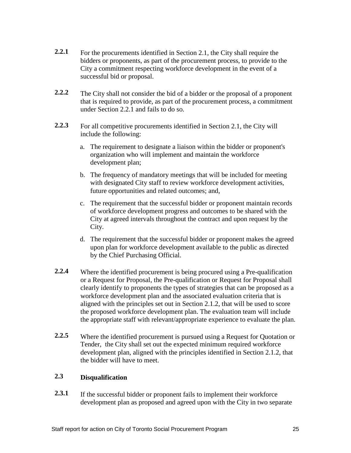- **2.2.1** For the procurements identified in Section 2.1, the City shall require the bidders or proponents, as part of the procurement process, to provide to the City a commitment respecting workforce development in the event of a successful bid or proposal.
- **2.2.2** The City shall not consider the bid of a bidder or the proposal of a proponent that is required to provide, as part of the procurement process, a commitment under Section 2.2.1 and fails to do so.
- **2.2.3** For all competitive procurements identified in Section 2.1, the City will include the following:
	- a. The requirement to designate a liaison within the bidder or proponent's organization who will implement and maintain the workforce development plan;
	- b. The frequency of mandatory meetings that will be included for meeting with designated City staff to review workforce development activities, future opportunities and related outcomes; and,
	- c. The requirement that the successful bidder or proponent maintain records of workforce development progress and outcomes to be shared with the City at agreed intervals throughout the contract and upon request by the City.
	- d. The requirement that the successful bidder or proponent makes the agreed upon plan for workforce development available to the public as directed by the Chief Purchasing Official.
- **2.2.4** Where the identified procurement is being procured using a Pre-qualification or a Request for Proposal, the Pre-qualification or Request for Proposal shall clearly identify to proponents the types of strategies that can be proposed as a workforce development plan and the associated evaluation criteria that is aligned with the principles set out in Section 2.1.2, that will be used to score the proposed workforce development plan. The evaluation team will include the appropriate staff with relevant/appropriate experience to evaluate the plan.
- **2.2.5** Where the identified procurement is pursued using a Request for Quotation or Tender, the City shall set out the expected minimum required workforce development plan, aligned with the principles identified in Section 2.1.2, that the bidder will have to meet.

# **2.3 Disqualification**

**2.3.1** If the successful bidder or proponent fails to implement their workforce development plan as proposed and agreed upon with the City in two separate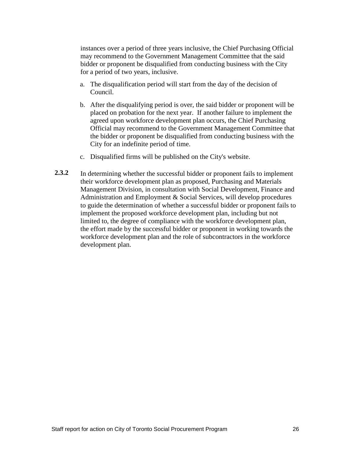instances over a period of three years inclusive, the Chief Purchasing Official may recommend to the Government Management Committee that the said bidder or proponent be disqualified from conducting business with the City for a period of two years, inclusive.

- a. The disqualification period will start from the day of the decision of Council.
- b. After the disqualifying period is over, the said bidder or proponent will be placed on probation for the next year. If another failure to implement the agreed upon workforce development plan occurs, the Chief Purchasing Official may recommend to the Government Management Committee that the bidder or proponent be disqualified from conducting business with the City for an indefinite period of time.
- c. Disqualified firms will be published on the City's website.
- 2.3.2 In determining whether the successful bidder or proponent fails to implement their workforce development plan as proposed, Purchasing and Materials Management Division, in consultation with Social Development, Finance and Administration and Employment & Social Services, will develop procedures to guide the determination of whether a successful bidder or proponent fails to implement the proposed workforce development plan, including but not limited to, the degree of compliance with the workforce development plan, the effort made by the successful bidder or proponent in working towards the workforce development plan and the role of subcontractors in the workforce development plan.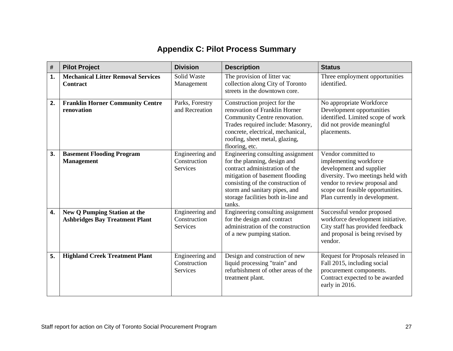# **Appendix C: Pilot Process Summary**

| #            | <b>Pilot Project</b>                                                         | <b>Division</b>                             | <b>Description</b>                                                                                                                                                                                                                                            | <b>Status</b>                                                                                                                                                                                                          |
|--------------|------------------------------------------------------------------------------|---------------------------------------------|---------------------------------------------------------------------------------------------------------------------------------------------------------------------------------------------------------------------------------------------------------------|------------------------------------------------------------------------------------------------------------------------------------------------------------------------------------------------------------------------|
| $\mathbf{1}$ | <b>Mechanical Litter Removal Services</b><br><b>Contract</b>                 | Solid Waste<br>Management                   | The provision of litter vac<br>collection along City of Toronto<br>streets in the downtown core.                                                                                                                                                              | Three employment opportunities<br>identified.                                                                                                                                                                          |
| 2.           | <b>Franklin Horner Community Centre</b><br>renovation                        | Parks, Forestry<br>and Recreation           | Construction project for the<br>renovation of Franklin Horner<br>Community Centre renovation.<br>Trades required include: Masonry,<br>concrete, electrical, mechanical,<br>roofing, sheet metal, glazing,<br>flooring, etc.                                   | No appropriate Workforce<br>Development opportunities<br>identified. Limited scope of work<br>did not provide meaningful<br>placements.                                                                                |
| 3.           | <b>Basement Flooding Program</b><br><b>Management</b>                        | Engineering and<br>Construction<br>Services | Engineering consulting assignment<br>for the planning, design and<br>contract administration of the<br>mitigation of basement flooding<br>consisting of the construction of<br>storm and sanitary pipes, and<br>storage facilities both in-line and<br>tanks. | Vendor committed to<br>implementing workforce<br>development and supplier<br>diversity. Two meetings held with<br>vendor to review proposal and<br>scope out feasible opportunities.<br>Plan currently in development. |
| 4.           | <b>New Q Pumping Station at the</b><br><b>Ashbridges Bay Treatment Plant</b> | Engineering and<br>Construction<br>Services | Engineering consulting assignment<br>for the design and contract<br>administration of the construction<br>of a new pumping station.                                                                                                                           | Successful vendor proposed<br>workforce development initiative.<br>City staff has provided feedback<br>and proposal is being revised by<br>vendor.                                                                     |
| 5.           | <b>Highland Creek Treatment Plant</b>                                        | Engineering and<br>Construction<br>Services | Design and construction of new<br>liquid processing "train" and<br>refurbishment of other areas of the<br>treatment plant.                                                                                                                                    | Request for Proposals released in<br>Fall 2015, including social<br>procurement components.<br>Contract expected to be awarded<br>early in 2016.                                                                       |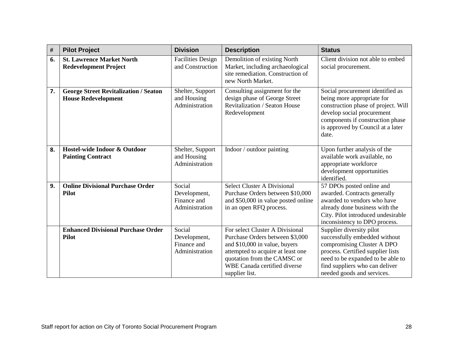| $\#$ | <b>Pilot Project</b>                                                       | <b>Division</b>                                         | <b>Description</b>                                                                                                                                                                                                               | <b>Status</b>                                                                                                                                                                                                                     |
|------|----------------------------------------------------------------------------|---------------------------------------------------------|----------------------------------------------------------------------------------------------------------------------------------------------------------------------------------------------------------------------------------|-----------------------------------------------------------------------------------------------------------------------------------------------------------------------------------------------------------------------------------|
| 6.   | <b>St. Lawrence Market North</b><br><b>Redevelopment Project</b>           | <b>Facilities Design</b><br>and Construction            | Demolition of existing North<br>Market, including archaeological<br>site remediation. Construction of<br>new North Market.                                                                                                       | Client division not able to embed<br>social procurement.                                                                                                                                                                          |
| 7.   | <b>George Street Revitalization / Seaton</b><br><b>House Redevelopment</b> | Shelter, Support<br>and Housing<br>Administration       | Consulting assignment for the<br>design phase of George Street<br><b>Revitalization / Seaton House</b><br>Redevelopment                                                                                                          | Social procurement identified as<br>being more appropriate for<br>construction phase of project. Will<br>develop social procurement<br>components if construction phase<br>is approved by Council at a later<br>date.             |
| 8.   | Hostel-wide Indoor & Outdoor<br><b>Painting Contract</b>                   | Shelter, Support<br>and Housing<br>Administration       | Indoor / outdoor painting                                                                                                                                                                                                        | Upon further analysis of the<br>available work available, no<br>appropriate workforce<br>development opportunities<br>identified.                                                                                                 |
| 9.   | <b>Online Divisional Purchase Order</b><br><b>Pilot</b>                    | Social<br>Development,<br>Finance and<br>Administration | <b>Select Cluster A Divisional</b><br>Purchase Orders between \$10,000<br>and \$50,000 in value posted online<br>in an open RFQ process.                                                                                         | 57 DPOs posted online and<br>awarded. Contracts generally<br>awarded to vendors who have<br>already done business with the<br>City. Pilot introduced undesirable<br>inconsistency to DPO process.                                 |
|      | <b>Enhanced Divisional Purchase Order</b><br><b>Pilot</b>                  | Social<br>Development,<br>Finance and<br>Administration | For select Cluster A Divisional<br>Purchase Orders between \$3,000<br>and \$10,000 in value, buyers<br>attempted to acquire at least one<br>quotation from the CAMSC or<br><b>WBE Canada certified diverse</b><br>supplier list. | Supplier diversity pilot<br>successfully embedded without<br>compromising Cluster A DPO<br>process. Certified supplier lists<br>need to be expanded to be able to<br>find suppliers who can deliver<br>needed goods and services. |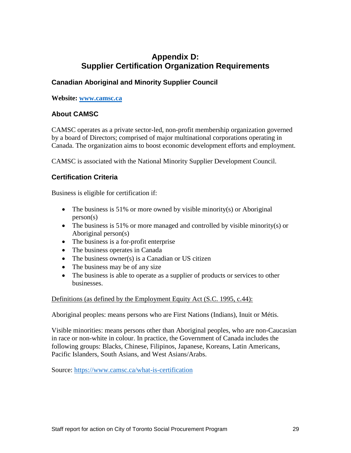# **Appendix D: Supplier Certification Organization Requirements**

# **Canadian Aboriginal and Minority Supplier Council**

#### **Website: [www.camsc.ca](http://www.camsc.ca/)**

# **About CAMSC**

CAMSC operates as a private sector-led, non-profit membership organization governed by a board of Directors; comprised of major multinational corporations operating in Canada. The organization aims to boost economic development efforts and employment.

CAMSC is associated with the National Minority Supplier Development Council.

# **Certification Criteria**

Business is eligible for certification if:

- The business is 51% or more owned by visible minority(s) or Aboriginal person(s)
- The business is 51% or more managed and controlled by visible minority(s) or Aboriginal person(s)
- The business is a for-profit enterprise
- The business operates in Canada
- The business owner(s) is a Canadian or US citizen
- The business may be of any size
- The business is able to operate as a supplier of products or services to other businesses.

Definitions (as defined by the Employment Equity Act (S.C. 1995, c.44):

Aboriginal peoples: means persons who are First Nations (Indians), Inuit or Métis.

Visible minorities: means persons other than Aboriginal peoples, who are non-Caucasian in race or non-white in colour. In practice, the Government of Canada includes the following groups: Blacks, Chinese, Filipinos, Japanese, Koreans, Latin Americans, Pacific Islanders, South Asians, and West Asians/Arabs.

Source:<https://www.camsc.ca/what-is-certification>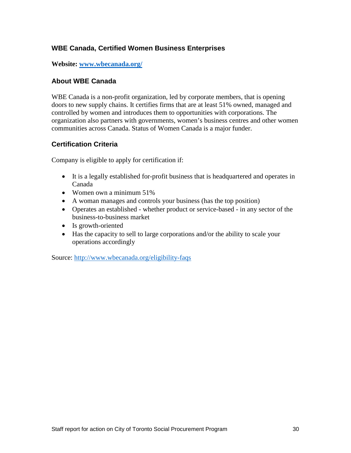# **WBE Canada, Certified Women Business Enterprises**

**Website: [www.wbecanada.org/](http://www.wbecanada.org/)**

#### **About WBE Canada**

WBE Canada is a non-profit organization, led by corporate members, that is opening doors to new supply chains. It certifies firms that are at least 51% owned, managed and controlled by women and introduces them to opportunities with corporations. The organization also partners with governments, women's business centres and other women communities across Canada. Status of Women Canada is a major funder.

#### **Certification Criteria**

Company is eligible to apply for certification if:

- It is a legally established for-profit business that is headquartered and operates in Canada
- Women own a minimum 51%
- A woman manages and controls your business (has the top position)
- Operates an established whether product or service-based in any sector of the business-to-business market
- Is growth-oriented
- Has the capacity to sell to large corporations and/or the ability to scale your operations accordingly

Source:<http://www.wbecanada.org/eligibility-faqs>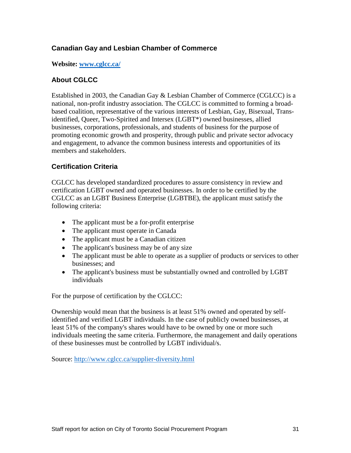# **Canadian Gay and Lesbian Chamber of Commerce**

**Website: [www.cglcc.ca/](http://www.cglcc.ca/)**

#### **About CGLCC**

Established in 2003, the Canadian Gay & Lesbian Chamber of Commerce (CGLCC) is a national, non-profit industry association. The CGLCC is committed to forming a broadbased coalition, representative of the various interests of Lesbian, Gay, Bisexual, Transidentified, Queer, Two-Spirited and Intersex (LGBT\*) owned businesses, allied businesses, corporations, professionals, and students of business for the purpose of promoting economic growth and prosperity, through public and private sector advocacy and engagement, to advance the common business interests and opportunities of its members and stakeholders.

# **Certification Criteria**

CGLCC has developed standardized procedures to assure consistency in review and certification LGBT owned and operated businesses. In order to be certified by the CGLCC as an LGBT Business Enterprise (LGBTBE), the applicant must satisfy the following criteria:

- The applicant must be a for-profit enterprise
- The applicant must operate in Canada
- The applicant must be a Canadian citizen
- The applicant's business may be of any size
- The applicant must be able to operate as a supplier of products or services to other businesses; and
- The applicant's business must be substantially owned and controlled by LGBT individuals

For the purpose of certification by the CGLCC:

Ownership would mean that the business is at least 51% owned and operated by selfidentified and verified LGBT individuals. In the case of publicly owned businesses, at least 51% of the company's shares would have to be owned by one or more such individuals meeting the same criteria. Furthermore, the management and daily operations of these businesses must be controlled by LGBT individual/s.

Source:<http://www.cglcc.ca/supplier-diversity.html>